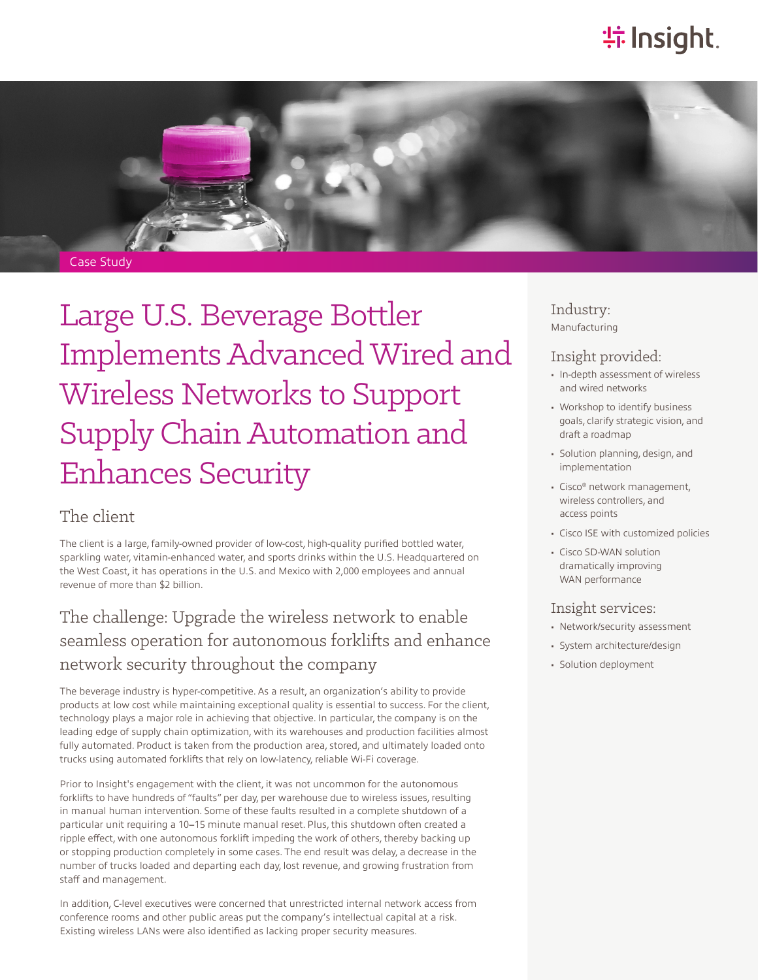# **特Insight**.



# Large U.S. Beverage Bottler Implements Advanced Wired and Wireless Networks to Support Supply Chain Automation and Enhances Security

### The client

The client is a large, family-owned provider of low-cost, high-quality purified bottled water, sparkling water, vitamin-enhanced water, and sports drinks within the U.S. Headquartered on the West Coast, it has operations in the U.S. and Mexico with 2,000 employees and annual revenue of more than \$2 billion.

## The challenge: Upgrade the wireless network to enable seamless operation for autonomous forklifts and enhance network security throughout the company

The beverage industry is hyper-competitive. As a result, an organization's ability to provide products at low cost while maintaining exceptional quality is essential to success. For the client, technology plays a major role in achieving that objective. In particular, the company is on the leading edge of supply chain optimization, with its warehouses and production facilities almost fully automated. Product is taken from the production area, stored, and ultimately loaded onto trucks using automated forklifts that rely on low-latency, reliable Wi-Fi coverage.

Prior to Insight's engagement with the client, it was not uncommon for the autonomous forklifts to have hundreds of "faults" per day, per warehouse due to wireless issues, resulting in manual human intervention. Some of these faults resulted in a complete shutdown of a particular unit requiring a 10–15 minute manual reset. Plus, this shutdown often created a ripple effect, with one autonomous forklift impeding the work of others, thereby backing up or stopping production completely in some cases. The end result was delay, a decrease in the number of trucks loaded and departing each day, lost revenue, and growing frustration from staff and management.

In addition, C-level executives were concerned that unrestricted internal network access from conference rooms and other public areas put the company's intellectual capital at a risk. Existing wireless LANs were also identified as lacking proper security measures.

#### Industry: Manufacturing

#### Insight provided:

- In-depth assessment of wireless and wired networks
- Workshop to identify business goals, clarify strategic vision, and draft a roadmap
- Solution planning, design, and implementation
- Cisco® network management, wireless controllers, and access points
- Cisco ISE with customized policies
- Cisco SD-WAN solution dramatically improving WAN performance

#### Insight services:

- Network/security assessment
- System architecture/design
- Solution deployment